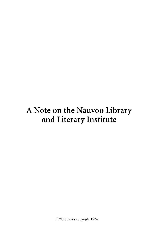## **A Note on the Nauvoo Library and Literary Institute**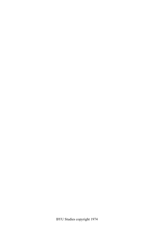BYU Studies copyright 1974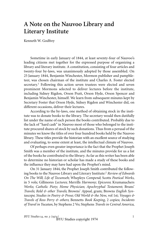## **A Note on the Nauvoo Library and Literary Institute**

Kenneth W. Godfrey

Sometime in early January of 1844, at least seventy-four of Nauvoo's leading citizens met together for the expressed purpose of organizing a library and literary institute. A constitution, consisting of four articles and twenty-four by-laws, was unanimously adopted by those assembled. On 25 January 1844, Benjamin Winchester, Mormon publisher and pamphleteer, was chosen chairman of the institute and Charles A. Foster elected secretary.<sup>1</sup> Following this action seven trustees were elected and seven prominent Mormons selected to deliver lectures before the institute, including Sidney Rigdon, Orson Pratt, Orson Hyde, Orson Spencer and Benjamin Winchester, himself. We learn from subsequent minutes kept by Secretary Foster that Orson Hyde, Sidney Rigdon and Winchester did, on different occasions, deliver their lectures.

According to the by-laws, one method of obtaining stock in the institute was to donate books to the library. The secretary would then dutifully list under the name of each person the books contributed. Probably due to the lack of "hard cash" in Nauvoo most of those who belonged to the institute procured shares of stock by such donations. Thus from a perusal of the minutes we know the titles of over four hundred books held by the Nauvoo library. These titles provide the historian with an excellent source of studying and evaluating, to some extent at least, the intellectual climate of Nauvoo.

Of perhaps even greater importance is the fact that the Prophet Joseph Smith was a member of the institute, and the minutes provide for us a list of the books he contributed to the library. As far as this writer has been able to determine no historian or scholar has made a study of these books and the influence they may have had upon the Prophet's mind.

On 31 January 1844, the Prophet Joseph Smith contributed the following books to the Nauvoo Library and Literary Institute:2 *Review of Edwards On The Will*; *Life of Tecumseh*; Whepleys *Compend*; Scotts *Poetical Works*, in 5 vols; Gillmores *Lectures*; Merrills *Harmony*; *Epicureo*; Krumanachers *Works*; *Catholic Piety*; *Home Physician*; *Apochryphal Testament*; Bruns' *Travels*; *Reld & other Travels*; Browns' *Appeal*, gram; Browns *English Syntascope*; *Studies in Poetry & Prose*; *Old World & the New*, vol 1st; *Voyages & Travels of Ross Perry & others*; Bennetts *Book Keeping*, 2 copies; *Incidents of Travel in Yucatan*, by Stephens 2 Vo; Stephens *Travels in Central America*,